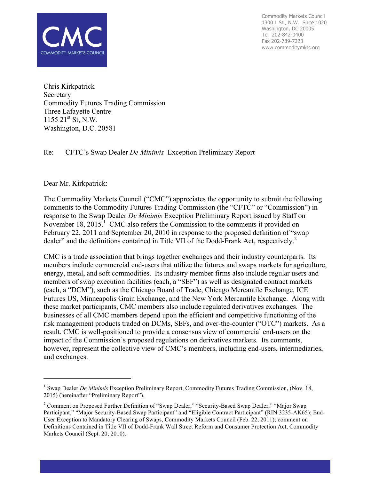

Commodity Markets Council 1300 L St., N.W. Suite 1020 Washington, DC 20005 Tel 202-842-0400 Fax 202-789-7223 www.commoditymkts.org

Chris Kirkpatrick Secretary Commodity Futures Trading Commission Three Lafayette Centre  $1155 \ 21^{st} \$  St, N.W. Washington, D.C. 20581

Re: CFTC's Swap Dealer *De Minimis* Exception Preliminary Report

Dear Mr. Kirkpatrick:

l

The Commodity Markets Council ("CMC") appreciates the opportunity to submit the following comments to the Commodity Futures Trading Commission (the "CFTC" or "Commission") in response to the Swap Dealer *De Minimis* Exception Preliminary Report issued by Staff on November 18, 2015.<sup>1</sup> CMC also refers the Commission to the comments it provided on February 22, 2011 and September 20, 2010 in response to the proposed definition of "swap dealer" and the definitions contained in Title VII of the Dodd-Frank Act, respectively.<sup>2</sup>

CMC is a trade association that brings together exchanges and their industry counterparts. Its members include commercial end-users that utilize the futures and swaps markets for agriculture, energy, metal, and soft commodities. Its industry member firms also include regular users and members of swap execution facilities (each, a "SEF") as well as designated contract markets (each, a "DCM"), such as the Chicago Board of Trade, Chicago Mercantile Exchange, ICE Futures US, Minneapolis Grain Exchange, and the New York Mercantile Exchange. Along with these market participants, CMC members also include regulated derivatives exchanges. The businesses of all CMC members depend upon the efficient and competitive functioning of the risk management products traded on DCMs, SEFs, and over-the-counter ("OTC") markets. As a result, CMC is well-positioned to provide a consensus view of commercial end-users on the impact of the Commission's proposed regulations on derivatives markets. Its comments, however, represent the collective view of CMC's members, including end-users, intermediaries, and exchanges.

<sup>1</sup> Swap Dealer *De Minimis* Exception Preliminary Report, Commodity Futures Trading Commission, (Nov. 18, 2015) (hereinafter "Preliminary Report").

<sup>&</sup>lt;sup>2</sup> Comment on Proposed Further Definition of "Swap Dealer," "Security-Based Swap Dealer," "Major Swap Participant," "Major Security-Based Swap Participant" and "Eligible Contract Participant" (RIN 3235-AK65); End-User Exception to Mandatory Clearing of Swaps, Commodity Markets Council (Feb. 22, 2011); comment on Definitions Contained in Title VII of Dodd-Frank Wall Street Reform and Consumer Protection Act, Commodity Markets Council (Sept. 20, 2010).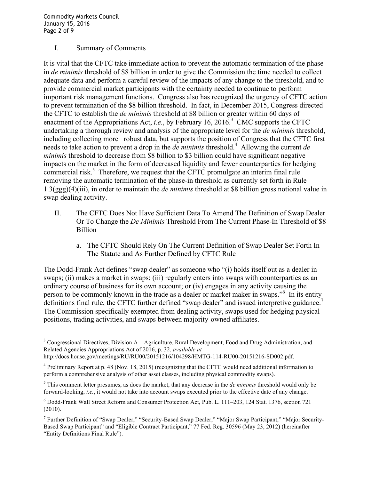Commodity Markets Council January 15, 2016 Page 2 of 9

### I. Summary of Comments

It is vital that the CFTC take immediate action to prevent the automatic termination of the phasein *de minimis* threshold of \$8 billion in order to give the Commission the time needed to collect adequate data and perform a careful review of the impacts of any change to the threshold, and to provide commercial market participants with the certainty needed to continue to perform important risk management functions. Congress also has recognized the urgency of CFTC action to prevent termination of the \$8 billion threshold. In fact, in December 2015, Congress directed the CFTC to establish the *de minimis* threshold at \$8 billion or greater within 60 days of enactment of the Appropriations Act, *i.e.*, by February 16, 2016.<sup>3</sup> CMC supports the CFTC undertaking a thorough review and analysis of the appropriate level for the *de minimis* threshold, including collecting more robust data, but supports the position of Congress that the CFTC first needs to take action to prevent a drop in the *de minimis* threshold.<sup>4</sup> Allowing the current *de minimis* threshold to decrease from \$8 billion to \$3 billion could have significant negative impacts on the market in the form of decreased liquidity and fewer counterparties for hedging commercial risk.<sup>5</sup> Therefore, we request that the CFTC promulgate an interim final rule removing the automatic termination of the phase-in threshold as currently set forth in Rule 1.3(ggg)(4)(iii), in order to maintain the *de minimis* threshold at \$8 billion gross notional value in swap dealing activity.

- II. The CFTC Does Not Have Sufficient Data To Amend The Definition of Swap Dealer Or To Change the *De Minimis* Threshold From The Current Phase-In Threshold of \$8 Billion
	- a. The CFTC Should Rely On The Current Definition of Swap Dealer Set Forth In The Statute and As Further Defined by CFTC Rule

The Dodd-Frank Act defines "swap dealer" as someone who "(i) holds itself out as a dealer in swaps; (ii) makes a market in swaps; (iii) regularly enters into swaps with counterparties as an ordinary course of business for its own account; or (iv) engages in any activity causing the person to be commonly known in the trade as a dealer or market maker in swaps."<sup>6</sup> In its entity definitions final rule, the CFTC further defined "swap dealer" and issued interpretive guidance.<sup>7</sup> The Commission specifically exempted from dealing activity, swaps used for hedging physical positions, trading activities, and swaps between majority-owned affiliates.

 $3$  Congressional Directives, Division A – Agriculture, Rural Development, Food and Drug Administration, and Related Agencies Appropriations Act of 2016, p. 32, *available at*

http://docs.house.gov/meetings/RU/RU00/20151216/104298/HMTG-114-RU00-20151216-SD002.pdf.

<sup>4</sup> Preliminary Report at p. 48 (Nov. 18, 2015) (recognizing that the CFTC would need additional information to perform a comprehensive analysis of other asset classes, including physical commodity swaps).

<sup>5</sup> This comment letter presumes, as does the market, that any decrease in the *de minimis* threshold would only be forward-looking, *i.e.*, it would not take into account swaps executed prior to the effective date of any change.

<sup>6</sup> Dodd-Frank Wall Street Reform and Consumer Protection Act, Pub. L. 111–203, 124 Stat. 1376, section 721 (2010).

<sup>&</sup>lt;sup>7</sup> Further Definition of "Swap Dealer," "Security-Based Swap Dealer," "Major Swap Participant," "Major Security-Based Swap Participant" and "Eligible Contract Participant," 77 Fed. Reg. 30596 (May 23, 2012) (hereinafter "Entity Definitions Final Rule").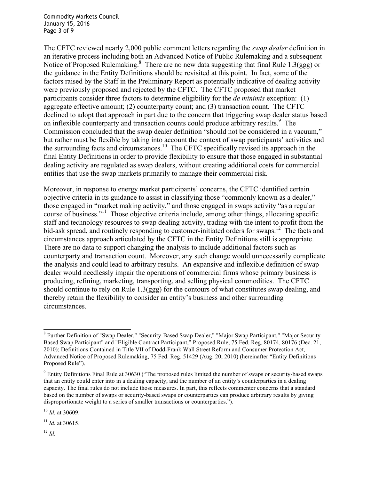Commodity Markets Council January 15, 2016 Page 3 of 9

The CFTC reviewed nearly 2,000 public comment letters regarding the *swap dealer* definition in an iterative process including both an Advanced Notice of Public Rulemaking and a subsequent Notice of Proposed Rulemaking. $8\text{ There are no new data suggesting that final Rule 1.3(ggg) or }$ the guidance in the Entity Definitions should be revisited at this point. In fact, some of the factors raised by the Staff in the Preliminary Report as potentially indicative of dealing activity were previously proposed and rejected by the CFTC. The CFTC proposed that market participants consider three factors to determine eligibility for the *de minimis* exception: (1) aggregate effective amount; (2) counterparty count; and (3) transaction count. The CFTC declined to adopt that approach in part due to the concern that triggering swap dealer status based on inflexible counterparty and transaction counts could produce arbitrary results.<sup>9</sup> The Commission concluded that the swap dealer definition "should not be considered in a vacuum," but rather must be flexible by taking into account the context of swap participants' activities and the surrounding facts and circumstances.<sup>10</sup> The CFTC specifically revised its approach in the final Entity Definitions in order to provide flexibility to ensure that those engaged in substantial dealing activity are regulated as swap dealers, without creating additional costs for commercial entities that use the swap markets primarily to manage their commercial risk.

Moreover, in response to energy market participants' concerns, the CFTC identified certain objective criteria in its guidance to assist in classifying those "commonly known as a dealer," those engaged in "market making activity," and those engaged in swaps activity "as a regular course of business."11 Those objective criteria include, among other things, allocating specific staff and technology resources to swap dealing activity, trading with the intent to profit from the bid-ask spread, and routinely responding to customer-initiated orders for swaps.<sup>12</sup> The facts and circumstances approach articulated by the CFTC in the Entity Definitions still is appropriate. There are no data to support changing the analysis to include additional factors such as counterparty and transaction count. Moreover, any such change would unnecessarily complicate the analysis and could lead to arbitrary results. An expansive and inflexible definition of swap dealer would needlessly impair the operations of commercial firms whose primary business is producing, refining, marketing, transporting, and selling physical commodities. The CFTC should continue to rely on Rule 1.3(ggg) for the contours of what constitutes swap dealing, and thereby retain the flexibility to consider an entity's business and other surrounding circumstances.

 $12 \, H$ 

<sup>8</sup> Further Definition of "Swap Dealer," "Security-Based Swap Dealer," "Major Swap Participant," "Major Security-Based Swap Participant" and "Eligible Contract Participant," Proposed Rule, 75 Fed. Reg. 80174, 80176 (Dec. 21, 2010); Definitions Contained in Title VII of Dodd-Frank Wall Street Reform and Consumer Protection Act, Advanced Notice of Proposed Rulemaking, 75 Fed. Reg. 51429 (Aug. 20, 2010) (hereinafter "Entity Definitions Proposed Rule").

 $9$  Entity Definitions Final Rule at 30630 ("The proposed rules limited the number of swaps or security-based swaps that an entity could enter into in a dealing capacity, and the number of an entity's counterparties in a dealing capacity. The final rules do not include those measures. In part, this reflects commenter concerns that a standard based on the number of swaps or security-based swaps or counterparties can produce arbitrary results by giving disproportionate weight to a series of smaller transactions or counterparties.").

<sup>10</sup> *Id.* at 30609.

<sup>11</sup> *Id.* at 30615.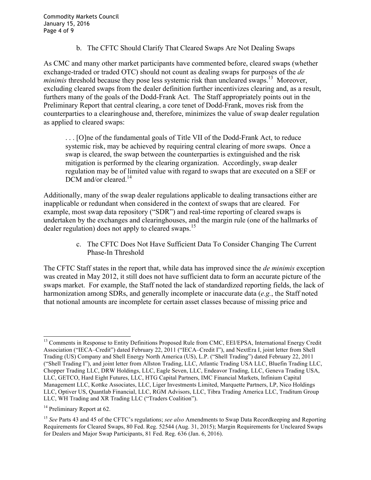b. The CFTC Should Clarify That Cleared Swaps Are Not Dealing Swaps

As CMC and many other market participants have commented before, cleared swaps (whether exchange-traded or traded OTC) should not count as dealing swaps for purposes of the *de minimis* threshold because they pose less systemic risk than uncleared swaps.<sup>13</sup> Moreover, excluding cleared swaps from the dealer definition further incentivizes clearing and, as a result, furthers many of the goals of the Dodd-Frank Act. The Staff appropriately points out in the Preliminary Report that central clearing, a core tenet of Dodd-Frank, moves risk from the counterparties to a clearinghouse and, therefore, minimizes the value of swap dealer regulation as applied to cleared swaps:

. . . [O]ne of the fundamental goals of Title VII of the Dodd-Frank Act, to reduce systemic risk, may be achieved by requiring central clearing of more swaps. Once a swap is cleared, the swap between the counterparties is extinguished and the risk mitigation is performed by the clearing organization. Accordingly, swap dealer regulation may be of limited value with regard to swaps that are executed on a SEF or DCM and/or cleared.<sup>14</sup>

Additionally, many of the swap dealer regulations applicable to dealing transactions either are inapplicable or redundant when considered in the context of swaps that are cleared. For example, most swap data repository ("SDR") and real-time reporting of cleared swaps is undertaken by the exchanges and clearinghouses, and the margin rule (one of the hallmarks of dealer regulation) does not apply to cleared swaps.<sup>15</sup>

> c. The CFTC Does Not Have Sufficient Data To Consider Changing The Current Phase-In Threshold

The CFTC Staff states in the report that, while data has improved since the *de minimis* exception was created in May 2012, it still does not have sufficient data to form an accurate picture of the swaps market. For example, the Staff noted the lack of standardized reporting fields, the lack of harmonization among SDRs, and generally incomplete or inaccurate data (*e.g.*, the Staff noted that notional amounts are incomplete for certain asset classes because of missing price and

<sup>&</sup>lt;sup>13</sup> Comments in Response to Entity Definitions Proposed Rule from CMC, EEI/EPSA, International Energy Credit Association ("IECA–Credit") dated February 22, 2011 ("IECA–Credit I"), and NextEra I, joint letter from Shell Trading (US) Company and Shell Energy North America (US), L.P. ("Shell Trading") dated February 22, 2011 ("Shell Trading I"), and joint letter from Allston Trading, LLC, Atlantic Trading USA LLC, Bluefin Trading LLC, Chopper Trading LLC, DRW Holdings, LLC, Eagle Seven, LLC, Endeavor Trading, LLC, Geneva Trading USA, LLC, GETCO, Hard Eight Futures, LLC, HTG Capital Partners, IMC Financial Markets, Infinium Capital Management LLC, Kottke Associates, LLC, Liger Investments Limited, Marquette Partners, LP, Nico Holdings LLC, Optiver US, Quantlab Financial, LLC, RGM Advisors, LLC, Tibra Trading America LLC, Traditum Group LLC, WH Trading and XR Trading LLC ("Traders Coalition").

 $14$  Preliminary Report at 62.

<sup>15</sup> *See* Parts 43 and 45 of the CFTC's regulations; *see also* Amendments to Swap Data Recordkeeping and Reporting Requirements for Cleared Swaps, 80 Fed. Reg. 52544 (Aug. 31, 2015); Margin Requirements for Uncleared Swaps for Dealers and Major Swap Participants, 81 Fed. Reg. 636 (Jan. 6, 2016).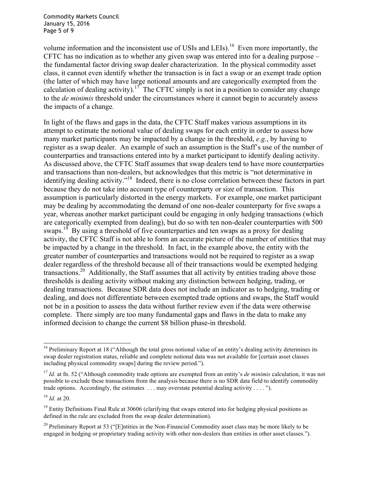Commodity Markets Council January 15, 2016 Page 5 of 9

volume information and the inconsistent use of USIs and LEIs).<sup>16</sup> Even more importantly, the CFTC has no indication as to whether any given swap was entered into for a dealing purpose – the fundamental factor driving swap dealer characterization. In the physical commodity asset class, it cannot even identify whether the transaction is in fact a swap or an exempt trade option (the latter of which may have large notional amounts and are categorically exempted from the calculation of dealing activity).<sup>17</sup> The CFTC simply is not in a position to consider any change to the *de minimis* threshold under the circumstances where it cannot begin to accurately assess the impacts of a change.

In light of the flaws and gaps in the data, the CFTC Staff makes various assumptions in its attempt to estimate the notional value of dealing swaps for each entity in order to assess how many market participants may be impacted by a change in the threshold, *e.g.*, by having to register as a swap dealer. An example of such an assumption is the Staff's use of the number of counterparties and transactions entered into by a market participant to identify dealing activity. As discussed above, the CFTC Staff assumes that swap dealers tend to have more counterparties and transactions than non-dealers, but acknowledges that this metric is "not determinative in identifying dealing activity."<sup>18</sup> Indeed, there is no close correlation between these factors in part because they do not take into account type of counterparty or size of transaction. This assumption is particularly distorted in the energy markets. For example, one market participant may be dealing by accommodating the demand of one non-dealer counterparty for five swaps a year, whereas another market participant could be engaging in only hedging transactions (which are categorically exempted from dealing), but do so with ten non-dealer counterparties with 500 swaps.<sup>19</sup> By using a threshold of five counterparties and ten swaps as a proxy for dealing activity, the CFTC Staff is not able to form an accurate picture of the number of entities that may be impacted by a change in the threshold. In fact, in the example above, the entity with the greater number of counterparties and transactions would not be required to register as a swap dealer regardless of the threshold because all of their transactions would be exempted hedging transactions.<sup>20</sup> Additionally, the Staff assumes that all activity by entities trading above those thresholds is dealing activity without making any distinction between hedging, trading, or dealing transactions. Because SDR data does not include an indicator as to hedging, trading or dealing, and does not differentiate between exempted trade options and swaps, the Staff would not be in a position to assess the data without further review even if the data were otherwise complete. There simply are too many fundamental gaps and flaws in the data to make any informed decision to change the current \$8 billion phase-in threshold.

<sup>&</sup>lt;sup>16</sup> Preliminary Report at 18 ("Although the total gross notional value of an entity's dealing activity determines its swap dealer registration status, reliable and complete notional data was not available for [certain asset classes including physical commodity swaps] during the review period.").

<sup>17</sup> *Id.* at fn. 52 ("Although commodity trade options are exempted from an entity's *de minimis* calculation, it was not possible to exclude these transactions from the analysis because there is no SDR data field to identify commodity trade options. Accordingly, the estimates  $\dots$  may overstate potential dealing activity  $\dots$  .").

<sup>18</sup> *Id.* at 20.

 $19$  Entity Definitions Final Rule at 30606 (clarifying that swaps entered into for hedging physical positions as defined in the rule are excluded from the swap dealer determination).

<sup>&</sup>lt;sup>20</sup> Preliminary Report at 53 ("[E]ntities in the Non-Financial Commodity asset class may be more likely to be engaged in hedging or proprietary trading activity with other non-dealers than entities in other asset classes.").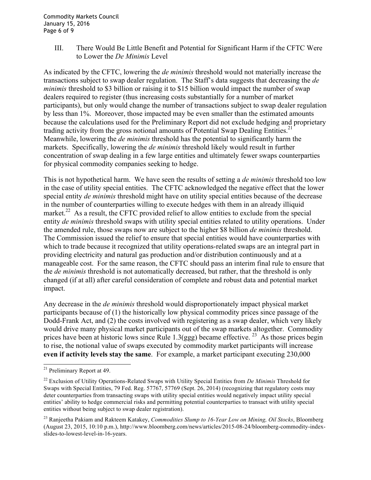III. There Would Be Little Benefit and Potential for Significant Harm if the CFTC Were to Lower the *De Minimis* Level

As indicated by the CFTC, lowering the *de minimis* threshold would not materially increase the transactions subject to swap dealer regulation. The Staff's data suggests that decreasing the *de minimis* threshold to \$3 billion or raising it to \$15 billion would impact the number of swap dealers required to register (thus increasing costs substantially for a number of market participants), but only would change the number of transactions subject to swap dealer regulation by less than 1%. Moreover, those impacted may be even smaller than the estimated amounts because the calculations used for the Preliminary Report did not exclude hedging and proprietary trading activity from the gross notional amounts of Potential Swap Dealing Entities.<sup>21</sup> Meanwhile, lowering the *de minimis* threshold has the potential to significantly harm the markets. Specifically, lowering the *de minimis* threshold likely would result in further concentration of swap dealing in a few large entities and ultimately fewer swaps counterparties for physical commodity companies seeking to hedge.

This is not hypothetical harm. We have seen the results of setting a *de minimis* threshold too low in the case of utility special entities. The CFTC acknowledged the negative effect that the lower special entity *de minimis* threshold might have on utility special entities because of the decrease in the number of counterparties willing to execute hedges with them in an already illiquid market.<sup>22</sup> As a result, the CFTC provided relief to allow entities to exclude from the special entity *de minimis* threshold swaps with utility special entities related to utility operations. Under the amended rule, those swaps now are subject to the higher \$8 billion *de minimis* threshold. The Commission issued the relief to ensure that special entities would have counterparties with which to trade because it recognized that utility operations-related swaps are an integral part in providing electricity and natural gas production and/or distribution continuously and at a manageable cost. For the same reason, the CFTC should pass an interim final rule to ensure that the *de minimis* threshold is not automatically decreased, but rather, that the threshold is only changed (if at all) after careful consideration of complete and robust data and potential market impact.

Any decrease in the *de minimis* threshold would disproportionately impact physical market participants because of (1) the historically low physical commodity prices since passage of the Dodd-Frank Act, and (2) the costs involved with registering as a swap dealer, which very likely would drive many physical market participants out of the swap markets altogether. Commodity prices have been at historic lows since Rule 1.3(ggg) became effective. <sup>23</sup> As those prices begin to rise, the notional value of swaps executed by commodity market participants will increase **even if activity levels stay the same**. For example, a market participant executing 230,000

<sup>21</sup> Preliminary Report at 49.

<sup>22</sup> Exclusion of Utility Operations-Related Swaps with Utility Special Entities from *De Minimis* Threshold for Swaps with Special Entities, 79 Fed. Reg. 57767, 57769 (Sept. 26, 2014) (recognizing that regulatory costs may deter counterparties from transacting swaps with utility special entities would negatively impact utility special entities' ability to hedge commercial risks and permitting potential counterparties to transact with utility special entities without being subject to swap dealer registration).

<sup>23</sup> Ranjeetha Pakiam and Rakteem Katakey, *Commodities Slump to 16-Year Low on Mining, Oil Stocks*, Bloomberg (August 23, 2015, 10:10 p.m.), http://www.bloomberg.com/news/articles/2015-08-24/bloomberg-commodity-indexslides-to-lowest-level-in-16-years.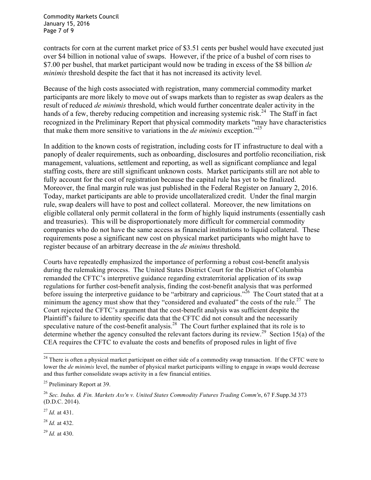Commodity Markets Council January 15, 2016 Page 7 of 9

contracts for corn at the current market price of \$3.51 cents per bushel would have executed just over \$4 billion in notional value of swaps. However, if the price of a bushel of corn rises to \$7.00 per bushel, that market participant would now be trading in excess of the \$8 billion *de minimis* threshold despite the fact that it has not increased its activity level.

Because of the high costs associated with registration, many commercial commodity market participants are more likely to move out of swaps markets than to register as swap dealers as the result of reduced *de minimis* threshold, which would further concentrate dealer activity in the hands of a few, thereby reducing competition and increasing systemic risk.<sup>24</sup> The Staff in fact recognized in the Preliminary Report that physical commodity markets "may have characteristics that make them more sensitive to variations in the *de minimis* exception."25

In addition to the known costs of registration, including costs for IT infrastructure to deal with a panoply of dealer requirements, such as onboarding, disclosures and portfolio reconciliation, risk management, valuations, settlement and reporting, as well as significant compliance and legal staffing costs, there are still significant unknown costs. Market participants still are not able to fully account for the cost of registration because the capital rule has yet to be finalized. Moreover, the final margin rule was just published in the Federal Register on January 2, 2016. Today, market participants are able to provide uncollateralized credit. Under the final margin rule, swap dealers will have to post and collect collateral. Moreover, the new limitations on eligible collateral only permit collateral in the form of highly liquid instruments (essentially cash and treasuries). This will be disproportionately more difficult for commercial commodity companies who do not have the same access as financial institutions to liquid collateral. These requirements pose a significant new cost on physical market participants who might have to register because of an arbitrary decrease in the *de minims* threshold.

Courts have repeatedly emphasized the importance of performing a robust cost-benefit analysis during the rulemaking process. The United States District Court for the District of Columbia remanded the CFTC's interpretive guidance regarding extraterritorial application of its swap regulations for further cost-benefit analysis, finding the cost-benefit analysis that was performed before issuing the interpretive guidance to be "arbitrary and capricious."<sup>26</sup> The Court stated that at a minimum the agency must show that they "considered and evaluated" the costs of the rule.<sup>27</sup> The Court rejected the CFTC's argument that the cost-benefit analysis was sufficient despite the Plaintiff's failure to identity specific data that the CFTC did not consult and the necessarily speculative nature of the cost-benefit analysis.<sup>28</sup> The Court further explained that its role is to determine whether the agency consulted the relevant factors during its review.<sup>29</sup> Section 15(a) of the CEA requires the CFTC to evaluate the costs and benefits of proposed rules in light of five

<sup>28</sup> *Id.* at 432.

<sup>29</sup> *Id.* at 430.

<sup>&</sup>lt;sup>24</sup> There is often a physical market participant on either side of a commodity swap transaction. If the CFTC were to lower the *de minimis* level, the number of physical market participants willing to engage in swaps would decrease and thus further consolidate swaps activity in a few financial entities.

<sup>&</sup>lt;sup>25</sup> Preliminary Report at 39.

<sup>26</sup> *Sec. Indus. & Fin. Markets Ass'n v. United States Commodity Futures Trading Comm'n*, 67 F.Supp.3d 373 (D.D.C. 2014).

<sup>27</sup> *Id.* at 431.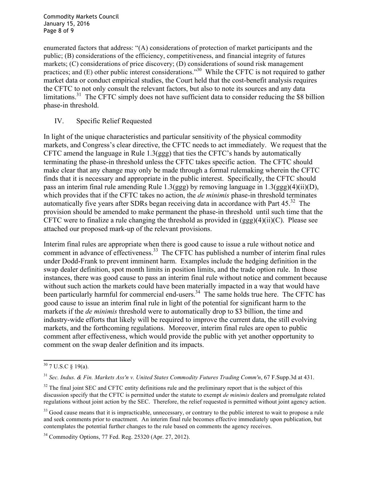Commodity Markets Council January 15, 2016 Page 8 of 9

enumerated factors that address: "(A) considerations of protection of market participants and the public; (B) considerations of the efficiency, competitiveness, and financial integrity of futures markets; (C) considerations of price discovery; (D) considerations of sound risk management practices; and (E) other public interest considerations."30 While the CFTC is not required to gather market data or conduct empirical studies, the Court held that the cost-benefit analysis requires the CFTC to not only consult the relevant factors, but also to note its sources and any data limitations.<sup>31</sup> The CFTC simply does not have sufficient data to consider reducing the \$8 billion phase-in threshold.

## IV. Specific Relief Requested

In light of the unique characteristics and particular sensitivity of the physical commodity markets, and Congress's clear directive, the CFTC needs to act immediately. We request that the CFTC amend the language in Rule 1.3(ggg) that ties the CFTC's hands by automatically terminating the phase-in threshold unless the CFTC takes specific action. The CFTC should make clear that any change may only be made through a formal rulemaking wherein the CFTC finds that it is necessary and appropriate in the public interest. Specifically, the CFTC should pass an interim final rule amending Rule 1.3(ggg) by removing language in 1.3(ggg)(4)(ii)(D), which provides that if the CFTC takes no action, the *de minimis* phase-in threshold terminates automatically five years after SDRs began receiving data in accordance with Part  $45.^{32}$  The provision should be amended to make permanent the phase-in threshold until such time that the CFTC were to finalize a rule changing the threshold as provided in  $(ggg)(4)(ii)(C)$ . Please see attached our proposed mark-up of the relevant provisions.

Interim final rules are appropriate when there is good cause to issue a rule without notice and comment in advance of effectiveness.<sup>33</sup> The CFTC has published a number of interim final rules under Dodd-Frank to prevent imminent harm. Examples include the hedging definition in the swap dealer definition, spot month limits in position limits, and the trade option rule. In those instances, there was good cause to pass an interim final rule without notice and comment because without such action the markets could have been materially impacted in a way that would have been particularly harmful for commercial end-users.<sup>34</sup> The same holds true here. The CFTC has good cause to issue an interim final rule in light of the potential for significant harm to the markets if the *de minimis* threshold were to automatically drop to \$3 billion, the time and industry-wide efforts that likely will be required to improve the current data, the still evolving markets, and the forthcoming regulations. Moreover, interim final rules are open to public comment after effectiveness, which would provide the public with yet another opportunity to comment on the swap dealer definition and its impacts.

 $30$  7 U.S.C  $\frac{1}{9}$  19(a).

<sup>31</sup> *Sec. Indus. & Fin. Markets Ass'n v. United States Commodity Futures Trading Comm'n*, 67 F.Supp.3d at 431.

<sup>&</sup>lt;sup>32</sup> The final joint SEC and CFTC entity definitions rule and the preliminary report that is the subject of this discussion specify that the CFTC is permitted under the statute to exempt *de minimis* dealers and promulgate related regulations without joint action by the SEC. Therefore, the relief requested is permitted without joint agency action.

<sup>&</sup>lt;sup>33</sup> Good cause means that it is impracticable, unnecessary, or contrary to the public interest to wait to propose a rule and seek comments prior to enactment. An interim final rule becomes effective immediately upon publication, but contemplates the potential further changes to the rule based on comments the agency receives.

<sup>34</sup> Commodity Options, 77 Fed. Reg. 25320 (Apr. 27, 2012).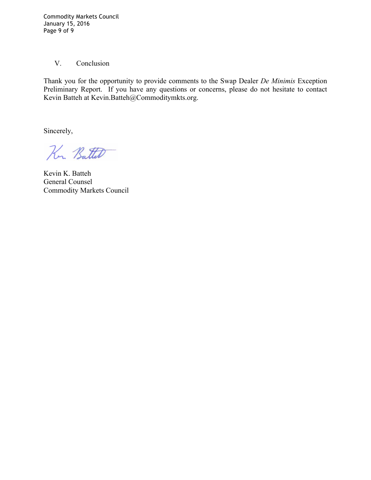Commodity Markets Council January 15, 2016 Page 9 of 9

# V. Conclusion

Thank you for the opportunity to provide comments to the Swap Dealer *De Minimis* Exception Preliminary Report. If you have any questions or concerns, please do not hesitate to contact Kevin Batteh at Kevin.Batteh@Commoditymkts.org.

Sincerely,

Kr. Batter

Kevin K. Batteh General Counsel Commodity Markets Council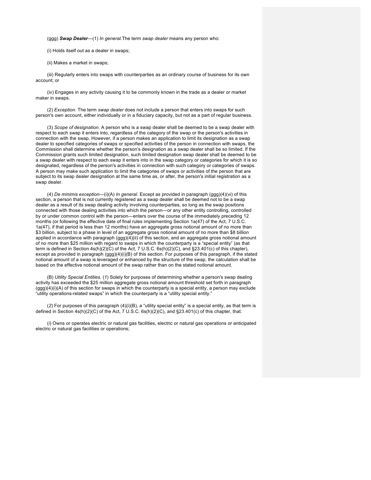(ggg) *Swap Dealer*—(1) *In general.*The term *swap dealer* means any person who:

(i) Holds itself out as a dealer in swaps;

(ii) Makes a market in swaps;

(iii) Regularly enters into swaps with counterparties as an ordinary course of business for its own account; or

(iv) Engages in any activity causing it to be commonly known in the trade as a dealer or market maker in swaps.

(2) *Exception.* The term *swap dealer* does not include a person that enters into swaps for such person's own account, either individually or in a fiduciary capacity, but not as a part of regular business.

(3) *Scope of designation.* A person who is a swap dealer shall be deemed to be a swap dealer with respect to each swap it enters into, regardless of the category of the swap or the person's activities in connection with the swap. However, if a person makes an application to limit its designation as a swap dealer to specified categories of swaps or specified activities of the person in connection with swaps, the Commission shall determine whether the person's designation as a swap dealer shall be so limited. If the Commission grants such limited designation, such limited designation swap dealer shall be deemed to be a swap dealer with respect to each swap it enters into in the swap category or categories for which it is so designated, regardless of the person's activities in connection with such category or categories of swaps. A person may make such application to limit the categories of swaps or activities of the person that are subject to its swap dealer designation at the same time as, or after, the person's initial registration as a swap dealer.

(4) *De minimis exception*—(i)(A) *In general.* Except as provided in paragraph (ggg)(4)(vi) of this section, a person that is not currently registered as a swap dealer shall be deemed not to be a swap dealer as a result of its swap dealing activity involving counterparties, so long as the swap positions connected with those dealing activities into which the person—or any other entity controlling, controlled by or under common control with the person—enters over the course of the immediately preceding 12 months (or following the effective date of final rules implementing Section 1a(47) of the Act, 7 U.S.C. 1a(47), if that period is less than 12 months) have an aggregate gross notional amount of no more than \$3 billion, subject to a phase in level of an aggregate gross notional amount of no more than \$8 billion applied in accordance with paragraph (ggg)(4)(ii) of this section, and an aggregate gross notional amount of no more than \$25 million with regard to swaps in which the counterparty is a "special entity" (as that term is defined in Section 4s(h)(2)(C) of the Act, 7 U.S.C. 6s(h)(2)(C), and §23.401(c) of this chapter), except as provided in paragraph (ggg)(4)(i)(B) of this section. For purposes of this paragraph, if the stated notional amount of a swap is leveraged or enhanced by the structure of the swap, the calculation shall be based on the effective notional amount of the swap rather than on the stated notional amount.

(B) *Utility Special Entities.* (*1*) Solely for purposes of determining whether a person's swap dealing activity has exceeded the \$25 million aggregate gross notional amount threshold set forth in paragraph (ggg)(4)(i)(A) of this section for swaps in which the counterparty is a special entity, a person may exclude "utility operations-related swaps" in which the counterparty is a "utility special entity."

(*2*) For purposes of this paragraph (4)(i)(B), a "utility special entity" is a special entity, as that term is defined in Section 4s(h)(2)(C) of the Act, 7 U.S.C. 6s(h)(2)(C), and §23.401(c) of this chapter, that:

(*i*) Owns or operates electric or natural gas facilities, electric or natural gas operations or anticipated electric or natural gas facilities or operations;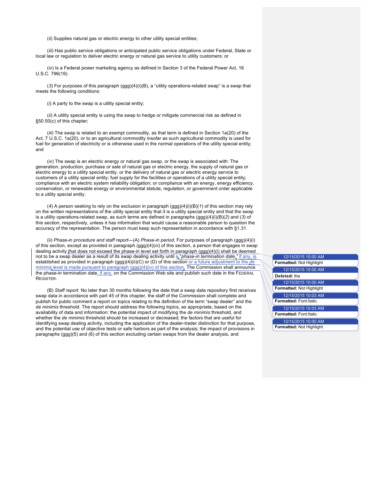(*ii*) Supplies natural gas or electric energy to other utility special entities;

(*iii*) Has public service obligations or anticipated public service obligations under Federal, State or local law or regulation to deliver electric energy or natural gas service to utility customers; or

(*iv*) Is a Federal power marketing agency as defined in Section 3 of the Federal Power Act, 16 U.S.C. 796(19).

(*3*) For purposes of this paragraph (ggg)(4)(i)(B), a "utility operations-related swap" is a swap that meets the following conditions:

(*i*) A party to the swap is a utility special entity;

(*ii*) A utility special entity is using the swap to hedge or mitigate commercial risk as defined in §50.50(c) of this chapter;

(*iii*) The swap is related to an exempt commodity, as that term is defined in Section 1a(20) of the Act, 7 U.S.C. 1a(20), or to an agricultural commodity insofar as such agricultural commodity is used for fuel for generation of electricity or is otherwise used in the normal operations of the utility special entity; and

(*iv*) The swap is an electric energy or natural gas swap, or the swap is associated with: The generation, production, purchase or sale of natural gas or electric energy, the supply of natural gas or electric energy to a utility special entity, or the delivery of natural gas or electric energy service to customers of a utility special entity; fuel supply for the facilities or operations of a utility special entity; compliance with an electric system reliability obligation; or compliance with an energy, energy efficiency, conservation, or renewable energy or environmental statute, regulation, or government order applicable to a utility special entity.

(*4*) A person seeking to rely on the exclusion in paragraph (ggg)(4)(i)(B)(*1*) of this section may rely on the written representations of the utility special entity that it is a utility special entity and that the swap is a utility operations-related swap, as such terms are defined in paragraphs (ggg)(4)(i)(B)(*2*) and (*3*) of this section, respectively, unless it has information that would cause a reasonable person to question the accuracy of the representation. The person must keep such representation in accordance with §1.31.

(ii) *Phase-in procedure and staff report*—(A) *Phase-in period.* For purposes of paragraph (ggg)(4)(i) of this section, except as provided in paragraph (ggg)(4)(vi) of this section, a person that engages in swap dealing activity that does not exceed the phase-in level set forth in paragraph (ggg)(4)(i) shall be deemed not to be a swap dealer as a result of its swap dealing activity until a "phase-in termination date," if any, is established as provided in paragraph (ggg)(4)(ii)(C) or (D) of this section or a future adjustment to the *de minimis* level is made pursuant to paragraph (ggg)(4)(iv) of this section. The Commission shall announce the phase-in termination date, if any, on the Commission Web site and publish such date in the FEDERAL REGISTER.

(B) *Staff report.* No later than 30 months following the date that a swap data repository first receives swap data in accordance with part 45 of this chapter, the staff of the Commission shall complete and publish for public comment a report on topics relating to the definition of the term "swap dealer" and the *de minimis* threshold. The report should address the following topics, as appropriate, based on the availability of data and information: the potential impact of modifying the *de minimis* threshold, and whether the *de minimis* threshold should be increased or decreased; the factors that are useful for identifying swap dealing activity, including the application of the dealer-trader distinction for that purpose, and the potential use of objective tests or safe harbors as part of the analysis; the impact of provisions in paragraphs (ggg)(5) and (6) of this section excluding certain swaps from the dealer analysis, and

| 12/15/2015 10:00 AM             |
|---------------------------------|
| <b>Formatted: Not Highlight</b> |
| 12/15/2015 10:00 AM             |
| Deleted: the                    |
| 12/15/2015 10:00 AM             |
| <b>Formatted: Not Highlight</b> |
| 12/15/2015 10:03 AM             |
| <b>Formatted: Font: Italic</b>  |
| 12/15/2015 10:03 AM             |
| <b>Formatted: Font: Italic</b>  |
| 12/15/2015 10:00 AM             |
| <b>Formatted: Not Highlight</b> |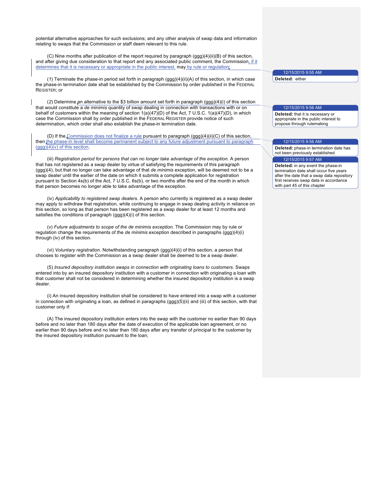potential alternative approaches for such exclusions; and any other analysis of swap data and information relating to swaps that the Commission or staff deem relevant to this rule.

(C) Nine months after publication of the report required by paragraph (ggg)(4)(ii)(B) of this section, and after giving due consideration to that report and any associated public comment, the Commission, if it determines that it is necessary or appropriate in the public interest, may by rule or regulation,

(*1*) Terminate the phase-in period set forth in paragraph (ggg)(4)(ii)(A) of this section, in which case the phase-in termination date shall be established by the Commission by order published in the FEDERAL REGISTER; or

(*2*) Determine an alternative to the \$3 billion amount set forth in paragraph (ggg)(4)(i) of this section that would constitute a *de minimis* quantity of swap dealing in connection with transactions with or on behalf of customers within the meaning of section 1(a)(47)(D) of the Act, 7 U.S.C. 1(a)(47)(D), in which case the Commission shall by order published in the FEDERAL REGISTER provide notice of such determination, which order shall also establish the phase-in termination date.

(D) If the Commission does not finalize a rule pursuant to paragraph (ggg)(4)(ii)(C) of this section, then the phase-in level shall become permanent subject to any future adjustment pursuant to paragraph  $(ggg)(4)(v)$  of this section.

(iii) *Registration period for persons that can no longer take advantage of the exception.* A person that has not registered as a swap dealer by virtue of satisfying the requirements of this paragraph (ggg)(4), but that no longer can take advantage of that *de minimis* exception, will be deemed not to be a swap dealer until the earlier of the date on which it submits a complete application for registration pursuant to Section 4s(b) of the Act, 7 U.S.C. 6s(b), or two months after the end of the month in which that person becomes no longer able to take advantage of the exception.

(iv) *Applicability to registered swap dealers.* A person who currently is registered as a swap dealer may apply to withdraw that registration, while continuing to engage in swap dealing activity in reliance on this section, so long as that person has been registered as a swap dealer for at least 12 months and satisfies the conditions of paragraph (ggg)(4)(i) of this section.

(v) *Future adjustments to scope of the de minimis exception.* The Commission may by rule or regulation change the requirements of the *de minimis* exception described in paragraphs (ggg)(4)(i) through (iv) of this section.

(vi) *Voluntary registration.* Notwithstanding paragraph (ggg)(4)(i) of this section, a person that chooses to register with the Commission as a swap dealer shall be deemed to be a swap dealer.

(5) *Insured depository institution swaps in connection with originating loans to customers.* Swaps entered into by an insured depository institution with a customer in connection with originating a loan with that customer shall not be considered in determining whether the insured depository institution is a swap dealer.

(i) An insured depository institution shall be considered to have entered into a swap with a customer in connection with originating a loan, as defined in paragraphs (ggg)(5)(ii) and (iii) of this section, with that customer only if:

(A) The insured depository institution enters into the swap with the customer no earlier than 90 days before and no later than 180 days after the date of execution of the applicable loan agreement, or no earlier than 90 days before and no later than 180 days after any transfer of principal to the customer by the insured depository institution pursuant to the loan;

12/15/2015 9:55 AM

**Deleted:** either

#### 12/15/2015 9:56 AM

**Deleted:** that it is necessary or appropriate in the public interest to propose through rulemaking

#### 12/15/2015 9:56 AM

**Deleted:** phase-in termination date has not been previously established 12/15/2015 9:57 AM

**Deleted:** in any event the phase-in termination date shall occur five years after the date that a swap data repository first receives swap data in accordance with part 45 of this chapter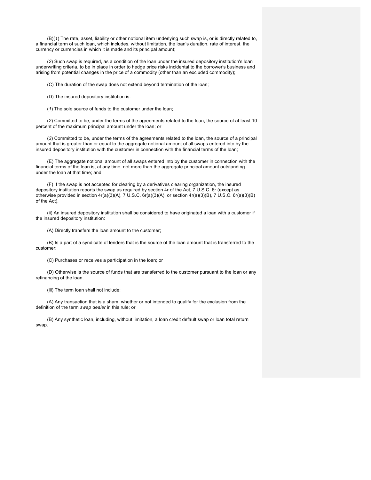(B)(*1*) The rate, asset, liability or other notional item underlying such swap is, or is directly related to, a financial term of such loan, which includes, without limitation, the loan's duration, rate of interest, the currency or currencies in which it is made and its principal amount;

(*2*) Such swap is required, as a condition of the loan under the insured depository institution's loan underwriting criteria, to be in place in order to hedge price risks incidental to the borrower's business and arising from potential changes in the price of a commodity (other than an excluded commodity);

(C) The duration of the swap does not extend beyond termination of the loan;

(D) The insured depository institution is:

(*1*) The sole source of funds to the customer under the loan;

(*2*) Committed to be, under the terms of the agreements related to the loan, the source of at least 10 percent of the maximum principal amount under the loan; or

(*3*) Committed to be, under the terms of the agreements related to the loan, the source of a principal amount that is greater than or equal to the aggregate notional amount of all swaps entered into by the insured depository institution with the customer in connection with the financial terms of the loan;

(E) The aggregate notional amount of all swaps entered into by the customer in connection with the financial terms of the loan is, at any time, not more than the aggregate principal amount outstanding under the loan at that time; and

(F) If the swap is not accepted for clearing by a derivatives clearing organization, the insured depository institution reports the swap as required by section 4r of the Act, 7 U.S.C. 6r (except as otherwise provided in section 4r(a)(3)(A), 7 U.S.C. 6r(a)(3)(A), or section 4r(a)(3)(B), 7 U.S.C. 6r(a)(3)(B) of the Act).

(ii) An insured depository institution shall be considered to have originated a loan with a customer if the insured depository institution:

(A) Directly transfers the loan amount to the customer;

(B) Is a part of a syndicate of lenders that is the source of the loan amount that is transferred to the customer;

(C) Purchases or receives a participation in the loan; or

(D) Otherwise is the source of funds that are transferred to the customer pursuant to the loan or any refinancing of the loan.

(iii) The term loan shall not include:

(A) Any transaction that is a sham, whether or not intended to qualify for the exclusion from the definition of the term *swap dealer* in this rule; or

(B) Any synthetic loan, including, without limitation, a loan credit default swap or loan total return swap.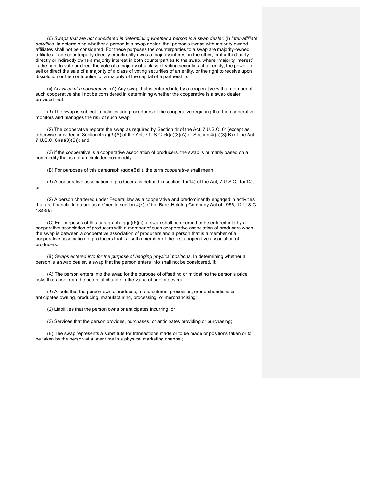(6) *Swaps that are not considered in determining whether a person is a swap dealer.* (i) *Inter-affiliate activities.* In determining whether a person is a swap dealer, that person's swaps with majority-owned affiliates shall not be considered. For these purposes the counterparties to a swap are majority-owned affiliates if one counterparty directly or indirectly owns a majority interest in the other, or if a third party directly or indirectly owns a majority interest in both counterparties to the swap, where "majority interest" is the right to vote or direct the vote of a majority of a class of voting securities of an entity, the power to sell or direct the sale of a majority of a class of voting securities of an entity, or the right to receive upon dissolution or the contribution of a majority of the capital of a partnership.

(ii) *Activities of a cooperative.* (A) Any swap that is entered into by a cooperative with a member of such cooperative shall not be considered in determining whether the cooperative is a swap dealer, provided that:

(*1*) The swap is subject to policies and procedures of the cooperative requiring that the cooperative monitors and manages the risk of such swap;

(*2*) The cooperative reports the swap as required by Section 4r of the Act, 7 U.S.C. 6r (except as otherwise provided in Section 4r(a)(3)(A) of the Act, 7 U.S.C. 6r(a)(3)(A) or Section 4r(a)(3)(B) of the Act, 7 U.S.C. 6r(a)(3)(B)); and

(*3*) if the cooperative is a cooperative association of producers, the swap is primarily based on a commodity that is not an excluded commodity.

(B) For purposes of this paragraph (ggg)(6)(ii), the term *cooperative* shall mean:

(*1*) A cooperative association of producers as defined in section 1a(14) of the Act, 7 U.S.C. 1a(14), or

(*2*) A person chartered under Federal law as a cooperative and predominantly engaged in activities that are financial in nature as defined in section 4(k) of the Bank Holding Company Act of 1956, 12 U.S.C. 1843(k).

(C) For purposes of this paragraph (ggg)(6)(ii), a swap shall be deemed to be entered into by a cooperative association of producers with a member of such cooperative association of producers when the swap is between a cooperative association of producers and a person that is a member of a cooperative association of producers that is itself a member of the first cooperative association of producers.

(iii) *Swaps entered into for the purpose of hedging physical positions.* In determining whether a person is a swap dealer, a swap that the person enters into shall not be considered, if:

(A) The person enters into the swap for the purpose of offsetting or mitigating the person's price risks that arise from the potential change in the value of one or several—

(*1*) Assets that the person owns, produces, manufactures, processes, or merchandises or anticipates owning, producing, manufacturing, processing, or merchandising;

(*2*) Liabilities that the person owns or anticipates incurring; or

(*3*) Services that the person provides, purchases, or anticipates providing or purchasing;

(B) The swap represents a substitute for transactions made or to be made or positions taken or to be taken by the person at a later time in a physical marketing channel;